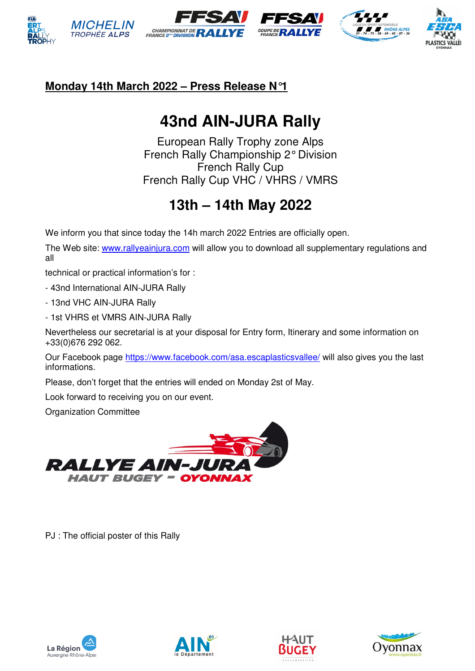







#### **Monday 14th March 2022 – Press Release N°1**

# **43nd AIN-JURA Rally**

European Rally Trophy zone Alps French Rally Championship 2° Division French Rally Cup French Rally Cup VHC / VHRS / VMRS

### **13th – 14th May 2022**

We inform you that since today the 14h march 2022 Entries are officially open.

The Web site: www.rallyeainjura.com will allow you to download all supplementary regulations and all

technical or practical information's for :

- 43nd International AIN-JURA Rally

- 13nd VHC AIN-JURA Rally

- 1st VHRS et VMRS AIN-JURA Rally

Nevertheless our secretarial is at your disposal for Entry form, Itinerary and some information on +33(0)676 292 062.

Our Facebook page https://www.facebook.com/asa.escaplasticsvallee/ will also gives you the last informations.

Please, don't forget that the entries will ended on Monday 2st of May.

Look forward to receiving you on our event.

Organization Committee



PJ : The official poster of this Rally